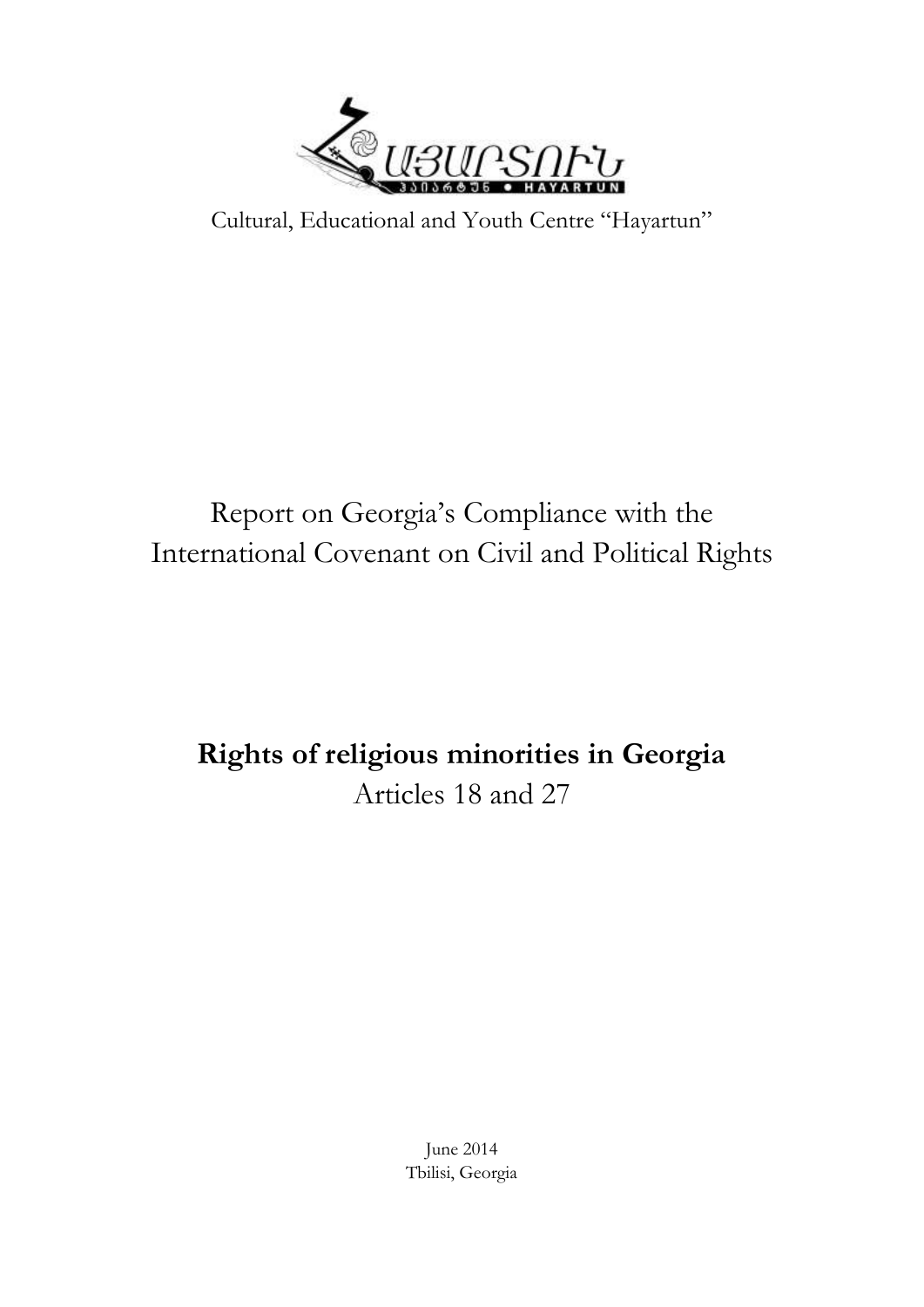

Cultural, Educational and Youth Centre "Hayartun"

# Report on Georgia's Compliance with the International Covenant on Civil and Political Rights

# **Rights of religious minorities in Georgia** Articles 18 and 27

June 2014 Tbilisi, Georgia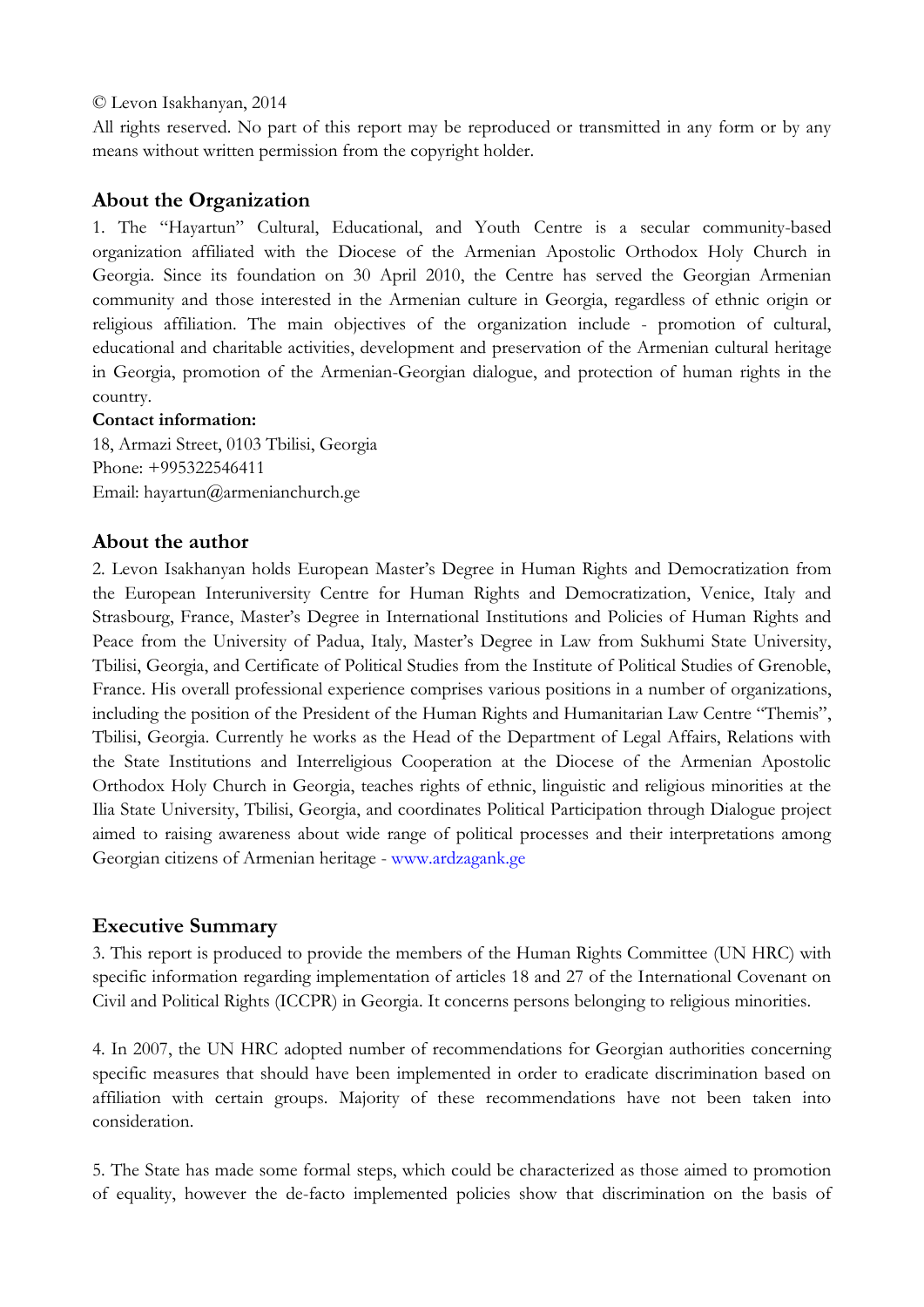#### © Levon Isakhanyan, 2014

All rights reserved. No part of this report may be reproduced or transmitted in any form or by any means without written permission from the copyright holder.

## **About the Organization**

1. The "Hayartun" Cultural, Educational, and Youth Centre is a secular community-based organization affiliated with the Diocese of the Armenian Apostolic Orthodox Holy Church in Georgia. Since its foundation on 30 April 2010, the Centre has served the Georgian Armenian community and those interested in the Armenian culture in Georgia, regardless of ethnic origin or religious affiliation. The main objectives of the organization include - promotion of cultural, educational and charitable activities, development and preservation of the Armenian cultural heritage in Georgia, promotion of the Armenian-Georgian dialogue, and protection of human rights in the country.

#### **Contact information:**

18, Armazi Street, 0103 Tbilisi, Georgia Phone: +995322546411 Email: hayartun@armenianchurch.ge

### **About the author**

2. Levon Isakhanyan holds European Master's Degree in Human Rights and Democratization from the European Interuniversity Centre for Human Rights and Democratization, Venice, Italy and Strasbourg, France, Master's Degree in International Institutions and Policies of Human Rights and Peace from the University of Padua, Italy, Master's Degree in Law from Sukhumi State University, Tbilisi, Georgia, and Certificate of Political Studies from the Institute of Political Studies of Grenoble, France. His overall professional experience comprises various positions in a number of organizations, including the position of the President of the Human Rights and Humanitarian Law Centre "Themis", Tbilisi, Georgia. Currently he works as the Head of the Department of Legal Affairs, Relations with the State Institutions and Interreligious Cooperation at the Diocese of the Armenian Apostolic Orthodox Holy Church in Georgia, teaches rights of ethnic, linguistic and religious minorities at the Ilia State University, Tbilisi, Georgia, and coordinates Political Participation through Dialogue project aimed to raising awareness about wide range of political processes and their interpretations among Georgian citizens of Armenian heritage - [www.ardzagank.ge](http://www.ardzagank.ge/)

## **Executive Summary**

3. This report is produced to provide the members of the Human Rights Committee (UN HRC) with specific information regarding implementation of articles 18 and 27 of the International Covenant on Civil and Political Rights (ICCPR) in Georgia. It concerns persons belonging to religious minorities.

4. In 2007, the UN HRC adopted number of recommendations for Georgian authorities concerning specific measures that should have been implemented in order to eradicate discrimination based on affiliation with certain groups. Majority of these recommendations have not been taken into consideration.

5. The State has made some formal steps, which could be characterized as those aimed to promotion of equality, however the de-facto implemented policies show that discrimination on the basis of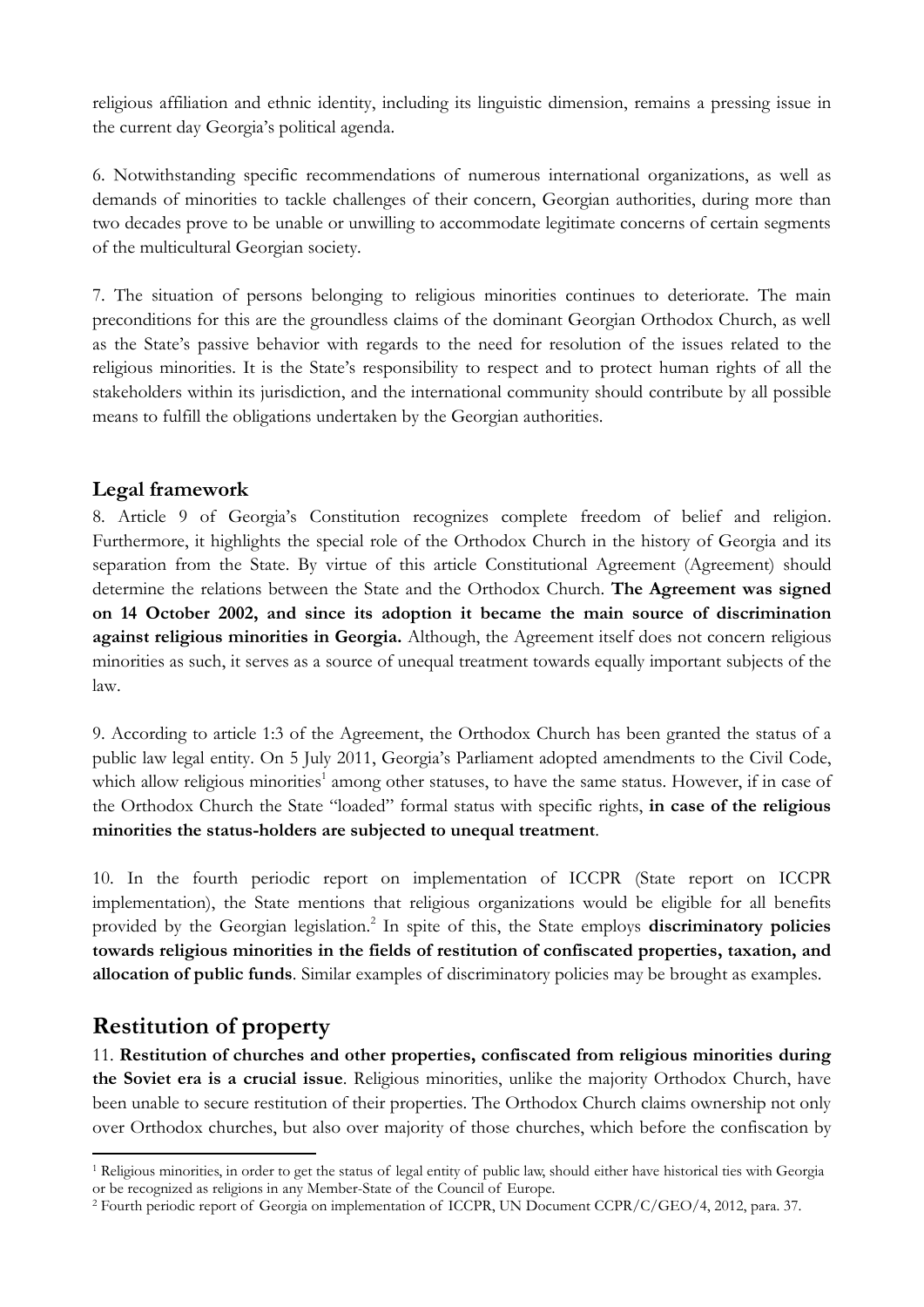religious affiliation and ethnic identity, including its linguistic dimension, remains a pressing issue in the current day Georgia's political agenda.

6. Notwithstanding specific recommendations of numerous international organizations, as well as demands of minorities to tackle challenges of their concern, Georgian authorities, during more than two decades prove to be unable or unwilling to accommodate legitimate concerns of certain segments of the multicultural Georgian society.

7. The situation of persons belonging to religious minorities continues to deteriorate. The main preconditions for this are the groundless claims of the dominant Georgian Orthodox Church, as well as the State's passive behavior with regards to the need for resolution of the issues related to the religious minorities. It is the State's responsibility to respect and to protect human rights of all the stakeholders within its jurisdiction, and the international community should contribute by all possible means to fulfill the obligations undertaken by the Georgian authorities.

## **Legal framework**

8. Article 9 of Georgia's Constitution recognizes complete freedom of belief and religion. Furthermore, it highlights the special role of the Orthodox Church in the history of Georgia and its separation from the State. By virtue of this article Constitutional Agreement (Agreement) should determine the relations between the State and the Orthodox Church. **The Agreement was signed on 14 October 2002, and since its adoption it became the main source of discrimination against religious minorities in Georgia.** Although, the Agreement itself does not concern religious minorities as such, it serves as a source of unequal treatment towards equally important subjects of the law.

9. According to article 1:3 of the Agreement, the Orthodox Church has been granted the status of a public law legal entity. On 5 July 2011, Georgia's Parliament adopted amendments to the Civil Code, which allow religious minorities<sup>1</sup> among other statuses, to have the same status. However, if in case of the Orthodox Church the State "loaded" formal status with specific rights, **in case of the religious minorities the status-holders are subjected to unequal treatment**.

10. In the fourth periodic report on implementation of ICCPR (State report on ICCPR implementation), the State mentions that religious organizations would be eligible for all benefits provided by the Georgian legislation.<sup>2</sup> In spite of this, the State employs **discriminatory policies towards religious minorities in the fields of restitution of confiscated properties, taxation, and allocation of public funds**. Similar examples of discriminatory policies may be brought as examples.

# **Restitution of property**

11. **Restitution of churches and other properties, confiscated from religious minorities during the Soviet era is a crucial issue**. Religious minorities, unlike the majority Orthodox Church, have been unable to secure restitution of their properties. The Orthodox Church claims ownership not only over Orthodox churches, but also over majority of those churches, which before the confiscation by

 $\overline{a}$ <sup>1</sup> Religious minorities, in order to get the status of legal entity of public law, should either have historical ties with Georgia or be recognized as religions in any Member-State of the Council of Europe.

<sup>2</sup> Fourth periodic report of Georgia on implementation of ICCPR, UN Document CCPR/C/GEO/4, 2012, para. 37.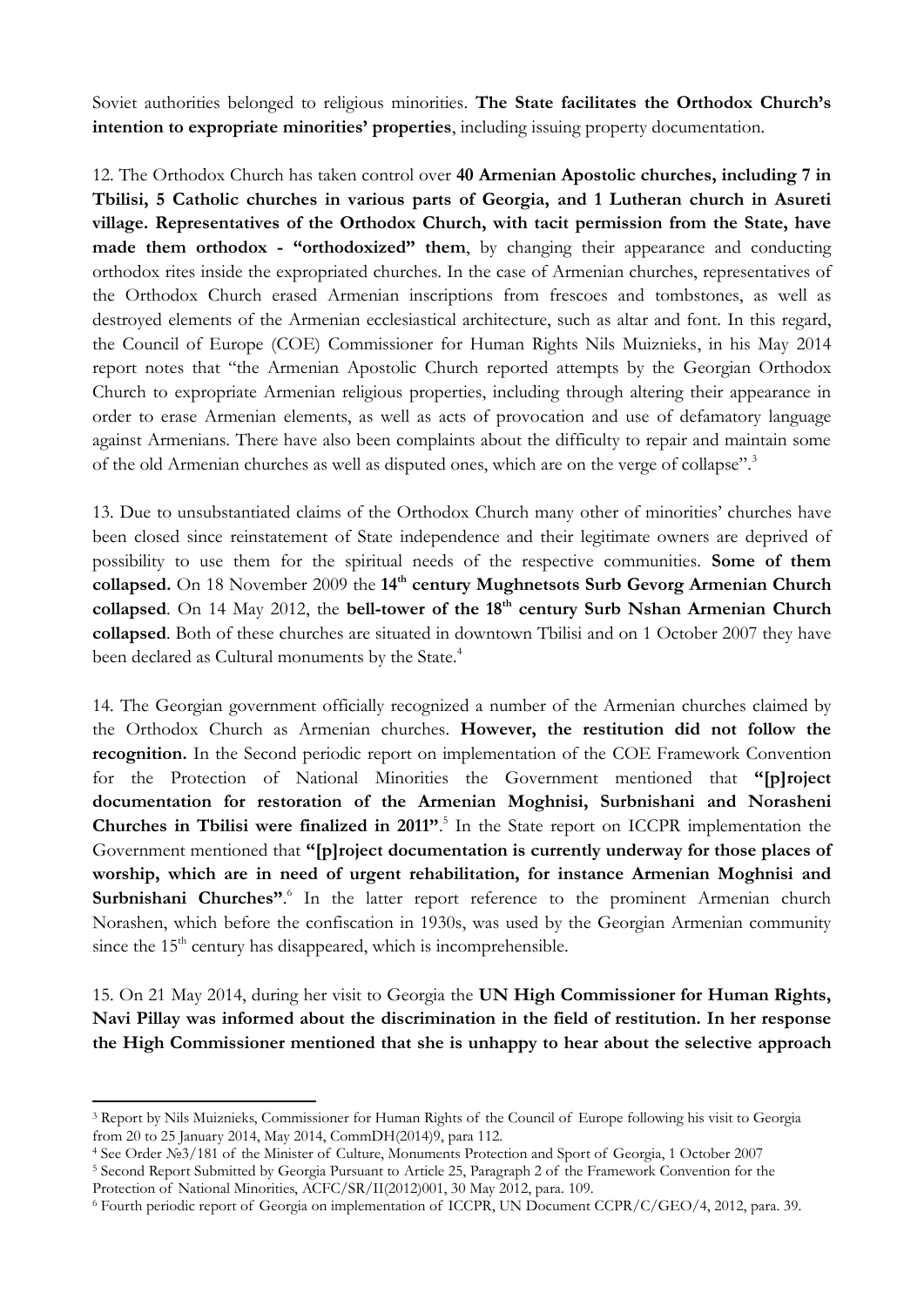Soviet authorities belonged to religious minorities. **The State facilitates the Orthodox Church's intention to expropriate minorities' properties**, including issuing property documentation.

12. The Orthodox Church has taken control over **40 Armenian Apostolic churches, including 7 in Tbilisi, 5 Catholic churches in various parts of Georgia, and 1 Lutheran church in Asureti village. Representatives of the Orthodox Church, with tacit permission from the State, have made them orthodox - "orthodoxized" them**, by changing their appearance and conducting orthodox rites inside the expropriated churches. In the case of Armenian churches, representatives of the Orthodox Church erased Armenian inscriptions from frescoes and tombstones, as well as destroyed elements of the Armenian ecclesiastical architecture, such as altar and font. In this regard, the Council of Europe (COE) Commissioner for Human Rights Nils Muiznieks, in his May 2014 report notes that "the Armenian Apostolic Church reported attempts by the Georgian Orthodox Church to expropriate Armenian religious properties, including through altering their appearance in order to erase Armenian elements, as well as acts of provocation and use of defamatory language against Armenians. There have also been complaints about the difficulty to repair and maintain some of the old Armenian churches as well as disputed ones, which are on the verge of collapse".<sup>3</sup>

13. Due to unsubstantiated claims of the Orthodox Church many other of minorities' churches have been closed since reinstatement of State independence and their legitimate owners are deprived of possibility to use them for the spiritual needs of the respective communities. **Some of them collapsed.** On 18 November 2009 the **14th century Mughnetsots Surb Gevorg Armenian Church collapsed**. On 14 May 2012, the **bell-tower of the 18th century Surb Nshan Armenian Church collapsed**. Both of these churches are situated in downtown Tbilisi and on 1 October 2007 they have been declared as Cultural monuments by the State.<sup>4</sup>

14. The Georgian government officially recognized a number of the Armenian churches claimed by the Orthodox Church as Armenian churches. **However, the restitution did not follow the recognition.** In the Second periodic report on implementation of the COE Framework Convention for the Protection of National Minorities the Government mentioned that **"[p]roject documentation for restoration of the Armenian Moghnisi, Surbnishani and Norasheni Churches in Tbilisi were finalized in 2011"**. 5 In the State report on ICCPR implementation the Government mentioned that **"[p]roject documentation is currently underway for those places of worship, which are in need of urgent rehabilitation, for instance Armenian Moghnisi and**  Surbnishani Churches".<sup>6</sup> In the latter report reference to the prominent Armenian church Norashen, which before the confiscation in 1930s, was used by the Georgian Armenian community since the  $15<sup>th</sup>$  century has disappeared, which is incomprehensible.

15. On 21 May 2014, during her visit to Georgia the **UN High Commissioner for Human Rights, Navi Pillay was informed about the discrimination in the field of restitution. In her response the High Commissioner mentioned that she is unhappy to hear about the selective approach** 

 $\overline{a}$ 

<sup>3</sup> Report by Nils Muiznieks, Commissioner for Human Rights of the Council of Europe following his visit to Georgia from 20 to 25 January 2014, May 2014, CommDH(2014)9, para 112.

<sup>4</sup> See Order №3/181 of the Minister of Culture, Monuments Protection and Sport of Georgia, 1 October 2007

<sup>5</sup> Second Report Submitted by Georgia Pursuant to Article 25, Paragraph 2 of the Framework Convention for the Protection of National Minorities, ACFC/SR/II(2012)001, 30 May 2012, para. 109.

<sup>6</sup> Fourth periodic report of Georgia on implementation of ICCPR, UN Document CCPR/C/GEO/4, 2012, para. 39.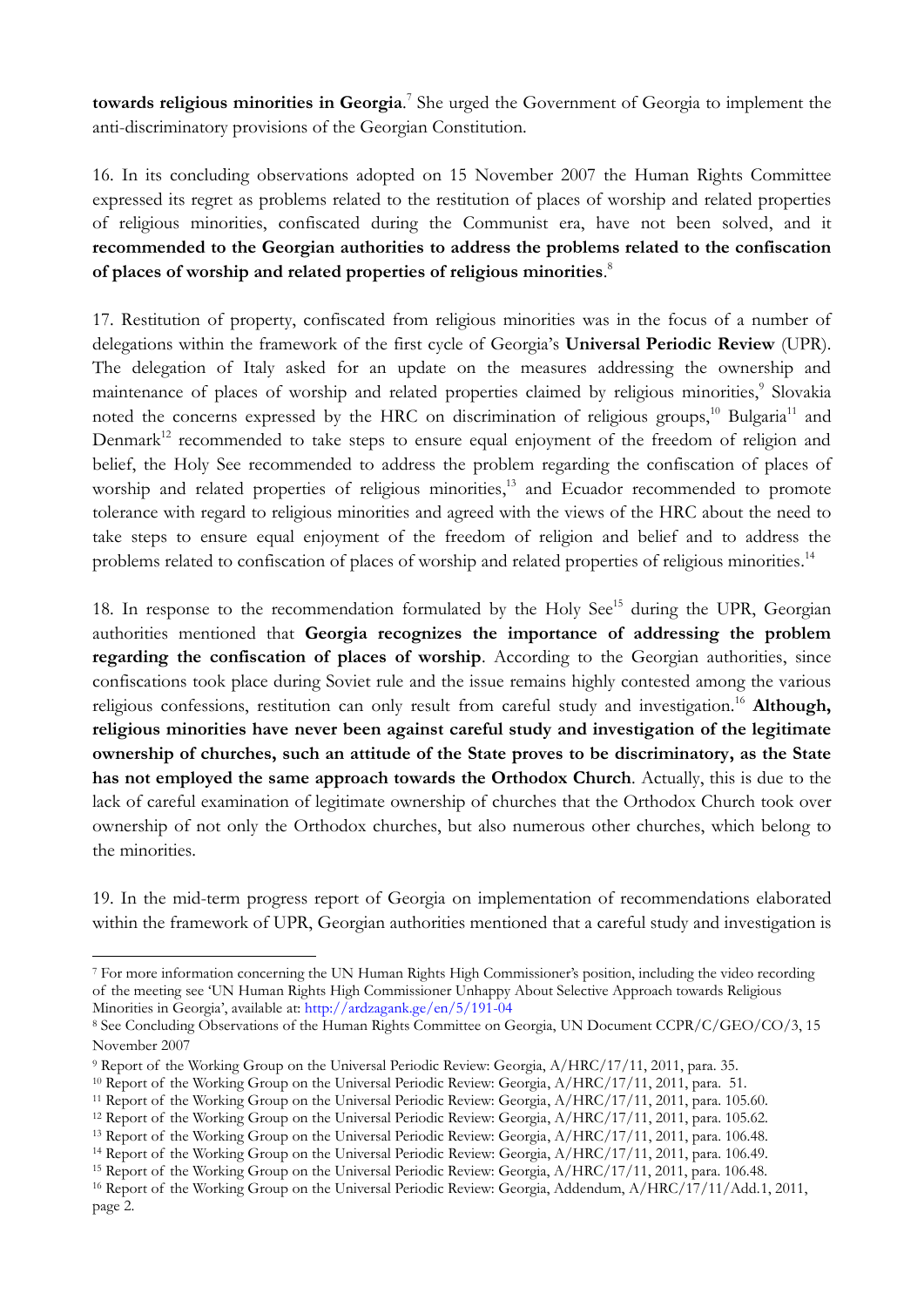**towards religious minorities in Georgia**. 7 She urged the Government of Georgia to implement the anti-discriminatory provisions of the Georgian Constitution.

16. In its concluding observations adopted on 15 November 2007 the Human Rights Committee expressed its regret as problems related to the restitution of places of worship and related properties of religious minorities, confiscated during the Communist era, have not been solved, and it **recommended to the Georgian authorities to address the problems related to the confiscation of places of worship and related properties of religious minorities**. 8

17. Restitution of property, confiscated from religious minorities was in the focus of a number of delegations within the framework of the first cycle of Georgia's **Universal Periodic Review** (UPR). The delegation of Italy asked for an update on the measures addressing the ownership and maintenance of places of worship and related properties claimed by religious minorities,<sup>9</sup> Slovakia noted the concerns expressed by the HRC on discrimination of religious groups,<sup>10</sup> Bulgaria<sup>11</sup> and Denmark<sup>12</sup> recommended to take steps to ensure equal enjoyment of the freedom of religion and belief, the Holy See recommended to address the problem regarding the confiscation of places of worship and related properties of religious minorities,<sup>13</sup> and Ecuador recommended to promote tolerance with regard to religious minorities and agreed with the views of the HRC about the need to take steps to ensure equal enjoyment of the freedom of religion and belief and to address the problems related to confiscation of places of worship and related properties of religious minorities.<sup>14</sup>

18. In response to the recommendation formulated by the Holy See<sup>15</sup> during the UPR, Georgian authorities mentioned that **Georgia recognizes the importance of addressing the problem regarding the confiscation of places of worship**. According to the Georgian authorities, since confiscations took place during Soviet rule and the issue remains highly contested among the various religious confessions, restitution can only result from careful study and investigation.<sup>16</sup> Although, **religious minorities have never been against careful study and investigation of the legitimate ownership of churches, such an attitude of the State proves to be discriminatory, as the State has not employed the same approach towards the Orthodox Church**. Actually, this is due to the lack of careful examination of legitimate ownership of churches that the Orthodox Church took over ownership of not only the Orthodox churches, but also numerous other churches, which belong to the minorities.

19. In the mid-term progress report of Georgia on implementation of recommendations elaborated within the framework of UPR, Georgian authorities mentioned that a careful study and investigation is

 $\ddot{\phantom{a}}$ <sup>7</sup> For more information concerning the UN Human Rights High Commissioner's position, including the video recording of the meeting see 'UN Human Rights High Commissioner Unhappy About Selective Approach towards Religious Minorities in Georgia', available at: <http://ardzagank.ge/en/5/191-04>

<sup>8</sup> See Concluding Observations of the Human Rights Committee on Georgia, UN Document CCPR/C/GEO/CO/3, 15 November 2007

<sup>9</sup> Report of the Working Group on the Universal Periodic Review: Georgia, A/HRC/17/11, 2011, para. 35.

<sup>10</sup> Report of the Working Group on the Universal Periodic Review: Georgia, A/HRC/17/11, 2011, para. 51.

<sup>11</sup> Report of the Working Group on the Universal Periodic Review: Georgia, A/HRC/17/11, 2011, para. 105.60.

<sup>12</sup> Report of the Working Group on the Universal Periodic Review: Georgia, A/HRC/17/11, 2011, para. 105.62.

<sup>13</sup> Report of the Working Group on the Universal Periodic Review: Georgia, A/HRC/17/11, 2011, para. 106.48.

<sup>14</sup> Report of the Working Group on the Universal Periodic Review: Georgia, A/HRC/17/11, 2011, para. 106.49.

<sup>15</sup> Report of the Working Group on the Universal Periodic Review: Georgia, A/HRC/17/11, 2011, para. 106.48.

<sup>&</sup>lt;sup>16</sup> Report of the Working Group on the Universal Periodic Review: Georgia, Addendum, A/HRC/17/11/Add.1, 2011, page 2.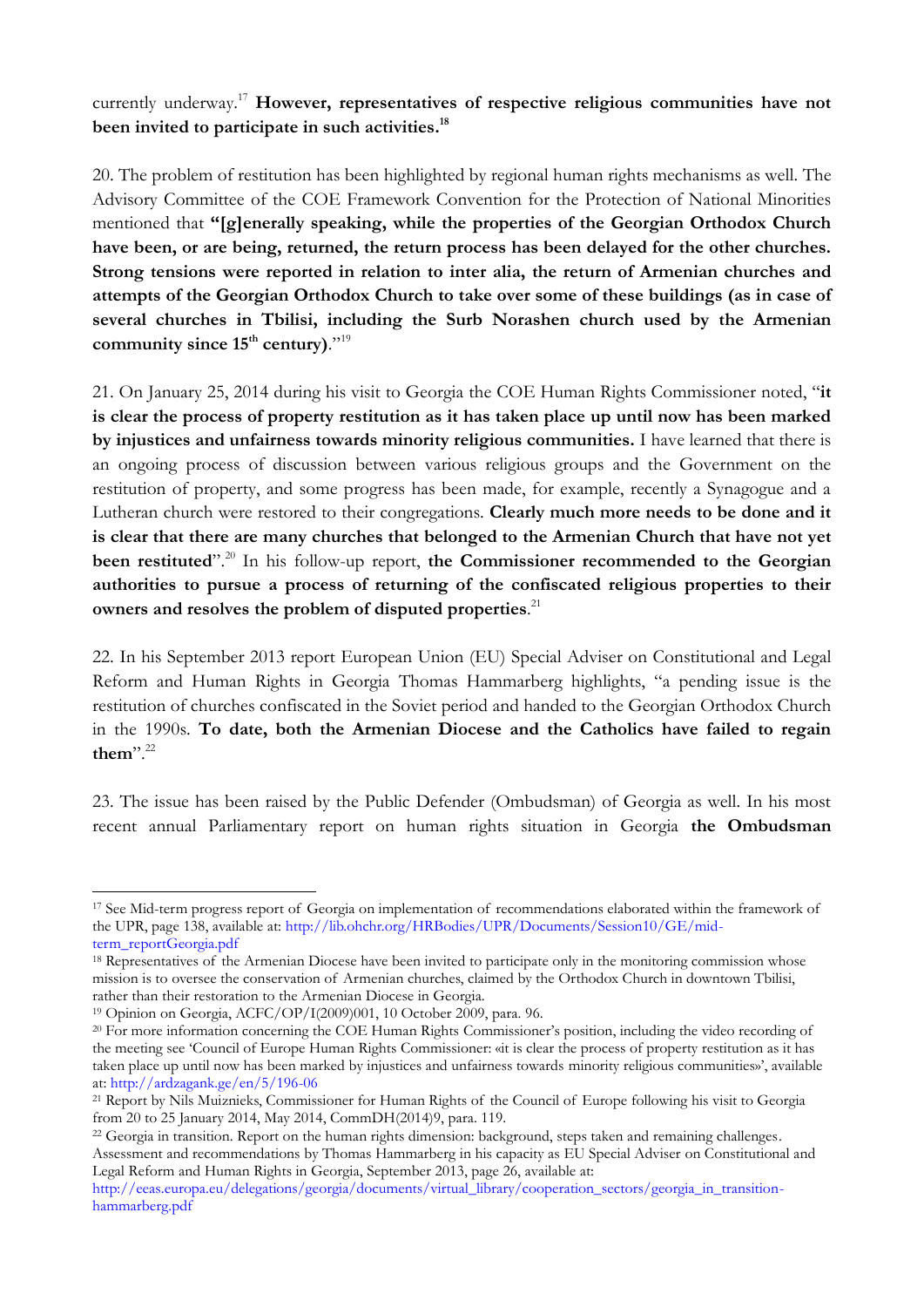currently underway.<sup>17</sup> **However, representatives of respective religious communities have not been invited to participate in such activities. 18**

20. The problem of restitution has been highlighted by regional human rights mechanisms as well. The Advisory Committee of the COE Framework Convention for the Protection of National Minorities mentioned that **"[g]enerally speaking, while the properties of the Georgian Orthodox Church have been, or are being, returned, the return process has been delayed for the other churches. Strong tensions were reported in relation to inter alia, the return of Armenian churches and attempts of the Georgian Orthodox Church to take over some of these buildings (as in case of several churches in Tbilisi, including the Surb Norashen church used by the Armenian community since 15th century)**."<sup>19</sup>

21. On January 25, 2014 during his visit to Georgia the COE Human Rights Commissioner noted, "**it is clear the process of property restitution as it has taken place up until now has been marked by injustices and unfairness towards minority religious communities.** I have learned that there is an ongoing process of discussion between various religious groups and the Government on the restitution of property, and some progress has been made, for example, recently a Synagogue and a Lutheran church were restored to their congregations. **Clearly much more needs to be done and it is clear that there are many churches that belonged to the Armenian Church that have not yet**  been restituted".<sup>20</sup> In his follow-up report, the Commissioner recommended to the Georgian **authorities to pursue a process of returning of the confiscated religious properties to their owners and resolves the problem of disputed properties**. 21

22. In his September 2013 report European Union (EU) Special Adviser on Constitutional and Legal Reform and Human Rights in Georgia Thomas Hammarberg highlights, "a pending issue is the restitution of churches confiscated in the Soviet period and handed to the Georgian Orthodox Church in the 1990s. **To date, both the Armenian Diocese and the Catholics have failed to regain them**".<sup>22</sup>

23. The issue has been raised by the Public Defender (Ombudsman) of Georgia as well. In his most recent annual Parliamentary report on human rights situation in Georgia **the Ombudsman** 

 $\ddot{\phantom{a}}$ 

<sup>17</sup> See Mid-term progress report of Georgia on implementation of recommendations elaborated within the framework of the UPR, page 138, available at: [http://lib.ohchr.org/HRBodies/UPR/Documents/Session10/GE/mid](http://lib.ohchr.org/HRBodies/UPR/Documents/Session10/GE/mid-term_reportGeorgia.pdf)[term\\_reportGeorgia.pdf](http://lib.ohchr.org/HRBodies/UPR/Documents/Session10/GE/mid-term_reportGeorgia.pdf)

<sup>&</sup>lt;sup>18</sup> Representatives of the Armenian Diocese have been invited to participate only in the monitoring commission whose mission is to oversee the conservation of Armenian churches, claimed by the Orthodox Church in downtown Tbilisi, rather than their restoration to the Armenian Diocese in Georgia.

<sup>19</sup> Opinion on Georgia, ACFC/OP/I(2009)001, 10 October 2009, para. 96.

<sup>&</sup>lt;sup>20</sup> For more information concerning the COE Human Rights Commissioner's position, including the video recording of the meeting see 'Council of Europe Human Rights Commissioner: «it is clear the process of property restitution as it has taken place up until now has been marked by injustices and unfairness towards minority religious communities»', available at:<http://ardzagank.ge/en/5/196-06>

<sup>21</sup> Report by Nils Muiznieks, Commissioner for Human Rights of the Council of Europe following his visit to Georgia from 20 to 25 January 2014, May 2014, CommDH(2014)9, para. 119.

<sup>&</sup>lt;sup>22</sup> Georgia in transition. Report on the human rights dimension: background, steps taken and remaining challenges. Assessment and recommendations by Thomas Hammarberg in his capacity as EU Special Adviser on Constitutional and Legal Reform and Human Rights in Georgia, September 2013, page 26, available at: [http://eeas.europa.eu/delegations/georgia/documents/virtual\\_library/cooperation\\_sectors/georgia\\_in\\_transition-](http://eeas.europa.eu/delegations/georgia/documents/virtual_library/cooperation_sectors/georgia_in_transition-hammarberg.pdf)

[hammarberg.pdf](http://eeas.europa.eu/delegations/georgia/documents/virtual_library/cooperation_sectors/georgia_in_transition-hammarberg.pdf)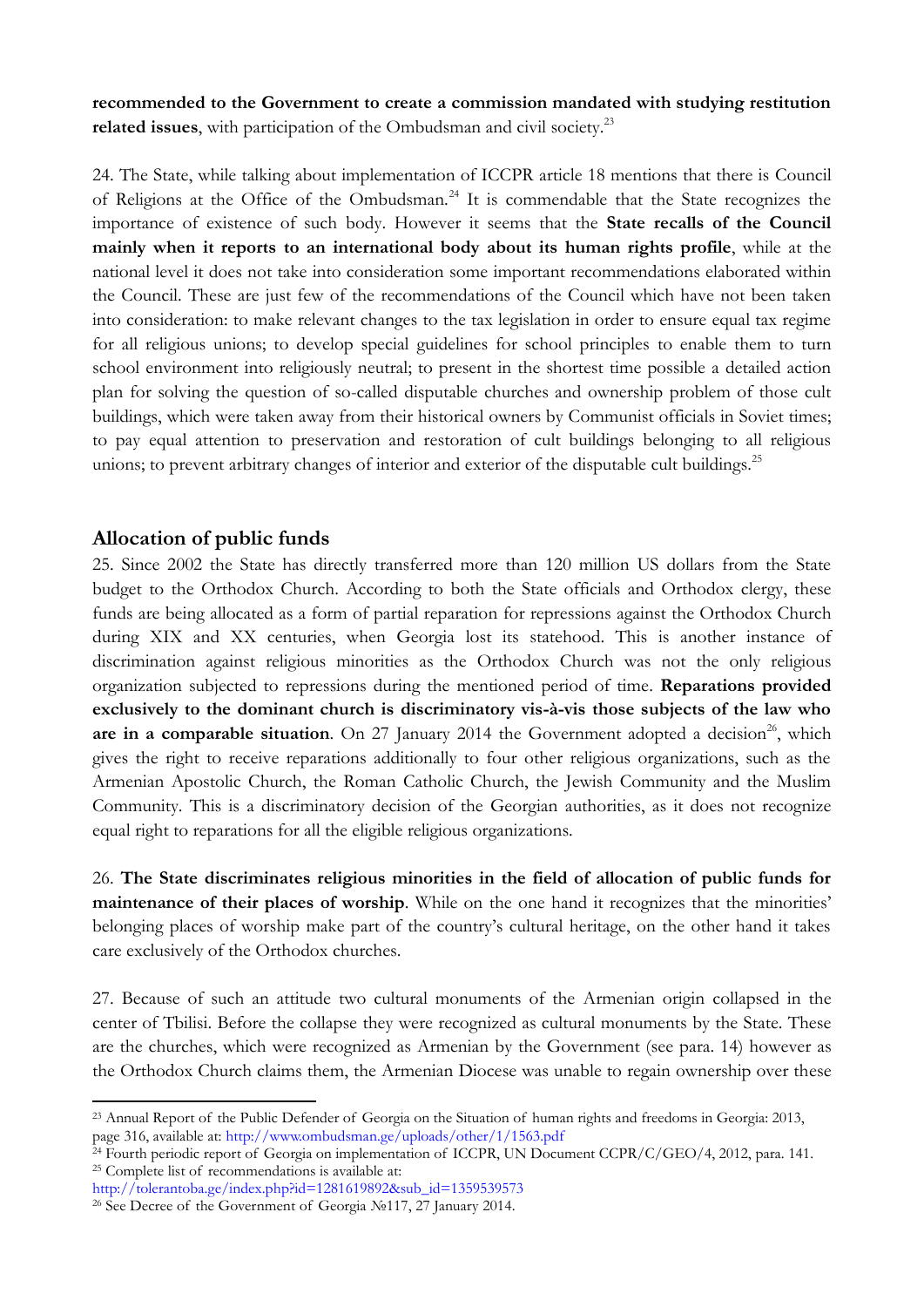**recommended to the Government to create a commission mandated with studying restitution related issues**, with participation of the Ombudsman and civil society.<sup>23</sup>

24. The State, while talking about implementation of ICCPR article 18 mentions that there is Council of Religions at the Office of the Ombudsman.<sup>24</sup> It is commendable that the State recognizes the importance of existence of such body. However it seems that the **State recalls of the Council mainly when it reports to an international body about its human rights profile**, while at the national level it does not take into consideration some important recommendations elaborated within the Council. These are just few of the recommendations of the Council which have not been taken into consideration: to make relevant changes to the tax legislation in order to ensure equal tax regime for all religious unions; to develop special guidelines for school principles to enable them to turn school environment into religiously neutral; to present in the shortest time possible a detailed action plan for solving the question of so-called disputable churches and ownership problem of those cult buildings, which were taken away from their historical owners by Communist officials in Soviet times; to pay equal attention to preservation and restoration of cult buildings belonging to all religious unions; to prevent arbitrary changes of interior and exterior of the disputable cult buildings.<sup>25</sup>

#### **Allocation of public funds**

25. Since 2002 the State has directly transferred more than 120 million US dollars from the State budget to the Orthodox Church. According to both the State officials and Orthodox clergy, these funds are being allocated as a form of partial reparation for repressions against the Orthodox Church during XIX and XX centuries, when Georgia lost its statehood. This is another instance of discrimination against religious minorities as the Orthodox Church was not the only religious organization subjected to repressions during the mentioned period of time. **Reparations provided exclusively to the dominant church is discriminatory vis-à-vis those subjects of the law who**  are in a comparable situation. On  $27$  January  $2014$  the Government adopted a decision<sup>26</sup>, which gives the right to receive reparations additionally to four other religious organizations, such as the Armenian Apostolic Church, the Roman Catholic Church, the Jewish Community and the Muslim Community. This is a discriminatory decision of the Georgian authorities, as it does not recognize equal right to reparations for all the eligible religious organizations.

26. **The State discriminates religious minorities in the field of allocation of public funds for maintenance of their places of worship**. While on the one hand it recognizes that the minorities' belonging places of worship make part of the country's cultural heritage, on the other hand it takes care exclusively of the Orthodox churches.

27. Because of such an attitude two cultural monuments of the Armenian origin collapsed in the center of Tbilisi. Before the collapse they were recognized as cultural monuments by the State. These are the churches, which were recognized as Armenian by the Government (see para. 14) however as the Orthodox Church claims them, the Armenian Diocese was unable to regain ownership over these

 $\overline{a}$ <sup>23</sup> Annual Report of the Public Defender of Georgia on the Situation of human rights and freedoms in Georgia: 2013, page 316, available at:<http://www.ombudsman.ge/uploads/other/1/1563.pdf>

<sup>&</sup>lt;sup>24</sup> Fourth periodic report of Georgia on implementation of ICCPR, UN Document CCPR/C/GEO/4, 2012, para. 141. <sup>25</sup> Complete list of recommendations is available at:

[http://tolerantoba.ge/index.php?id=1281619892&sub\\_id=1359539573](http://tolerantoba.ge/index.php?id=1281619892&sub_id=1359539573)

<sup>26</sup> See Decree of the Government of Georgia №117, 27 January 2014.